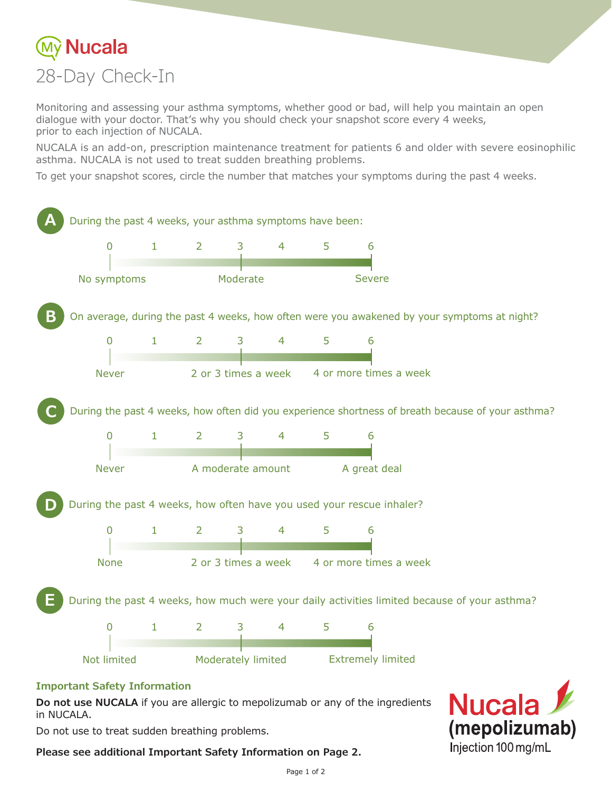

Monitoring and assessing your asthma symptoms, whether good or bad, will help you maintain an open dialogue with your doctor. That's why you should check your snapshot score every 4 weeks, prior to each injection of NUCALA.

NUCALA is an add-on, prescription maintenance treatment for patients 6 and older with severe eosinophilic asthma. NUCALA is not used to treat sudden breathing problems.

To get your snapshot scores, circle the number that matches your symptoms during the past 4 weeks.



#### **Important Safety Information**

**Do not use NUCALA** if you are allergic to mepolizumab or any of the ingredients in NUCALA.

Do not use to treat sudden breathing problems.

**Please see additional Important Safety Information on Page 2.**